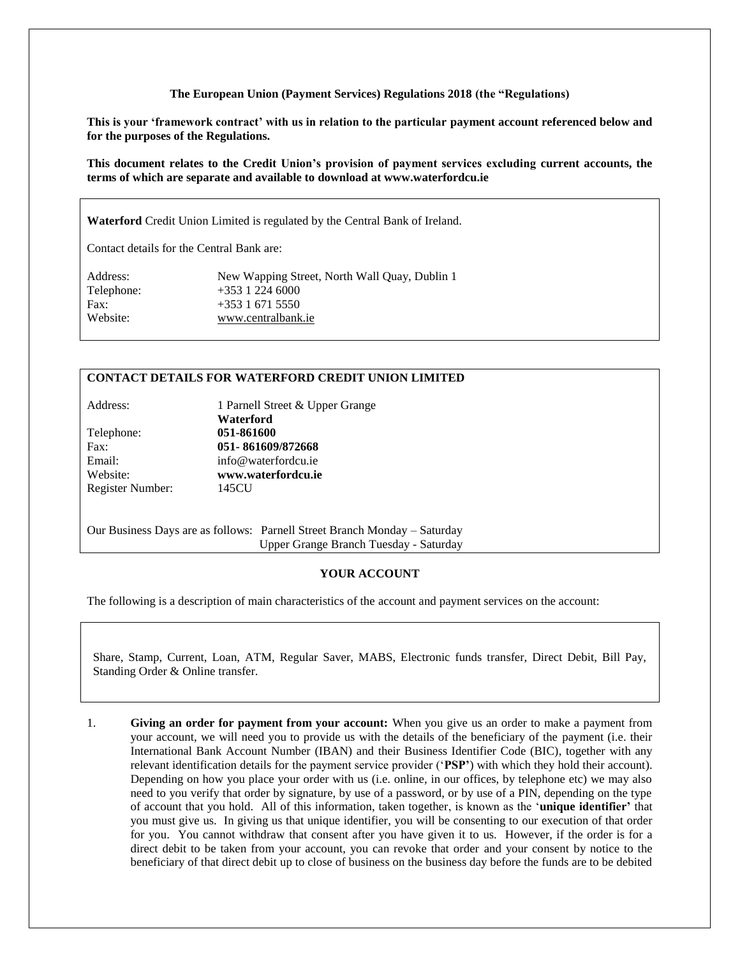## **The European Union (Payment Services) Regulations 2018 (the "Regulations)**

**This is your 'framework contract' with us in relation to the particular payment account referenced below and for the purposes of the Regulations.**

**This document relates to the Credit Union's provision of payment services excluding current accounts, the terms of which are separate and available to download at www.waterfordcu.ie**

**Waterford** Credit Union Limited is regulated by the Central Bank of Ireland.

Contact details for the Central Bank are:

| Address:   | New Wapping Street, North Wall Quay, Dublin 1 |
|------------|-----------------------------------------------|
| Telephone: | $+353$ 1 224 6000                             |
| Fax:       | $+353$ 1 671 5550                             |
| Website:   | www.centralbank.ie                            |

## **CONTACT DETAILS FOR WATERFORD CREDIT UNION LIMITED**

Address: 1 Parnell Street & Upper Grange **Waterford** Telephone: **051-861600** Fax: **051- 861609/872668** Email: info@waterfordcu.ie Website: **www.waterfordcu.ie** Register Number: 145CU

Our Business Days are as follows: Parnell Street Branch Monday – Saturday Upper Grange Branch Tuesday - Saturday

## **YOUR ACCOUNT**

The following is a description of main characteristics of the account and payment services on the account:

Share, Stamp, Current, Loan, ATM, Regular Saver, MABS, Electronic funds transfer, Direct Debit, Bill Pay, Standing Order & Online transfer.

1. **Giving an order for payment from your account:** When you give us an order to make a payment from your account, we will need you to provide us with the details of the beneficiary of the payment (i.e. their International Bank Account Number (IBAN) and their Business Identifier Code (BIC), together with any relevant identification details for the payment service provider ('**PSP'**) with which they hold their account). Depending on how you place your order with us (i.e. online, in our offices, by telephone etc) we may also need to you verify that order by signature, by use of a password, or by use of a PIN, depending on the type of account that you hold.All of this information, taken together, is known as the '**unique identifier'** that you must give us. In giving us that unique identifier, you will be consenting to our execution of that order for you. You cannot withdraw that consent after you have given it to us. However, if the order is for a direct debit to be taken from your account, you can revoke that order and your consent by notice to the beneficiary of that direct debit up to close of business on the business day before the funds are to be debited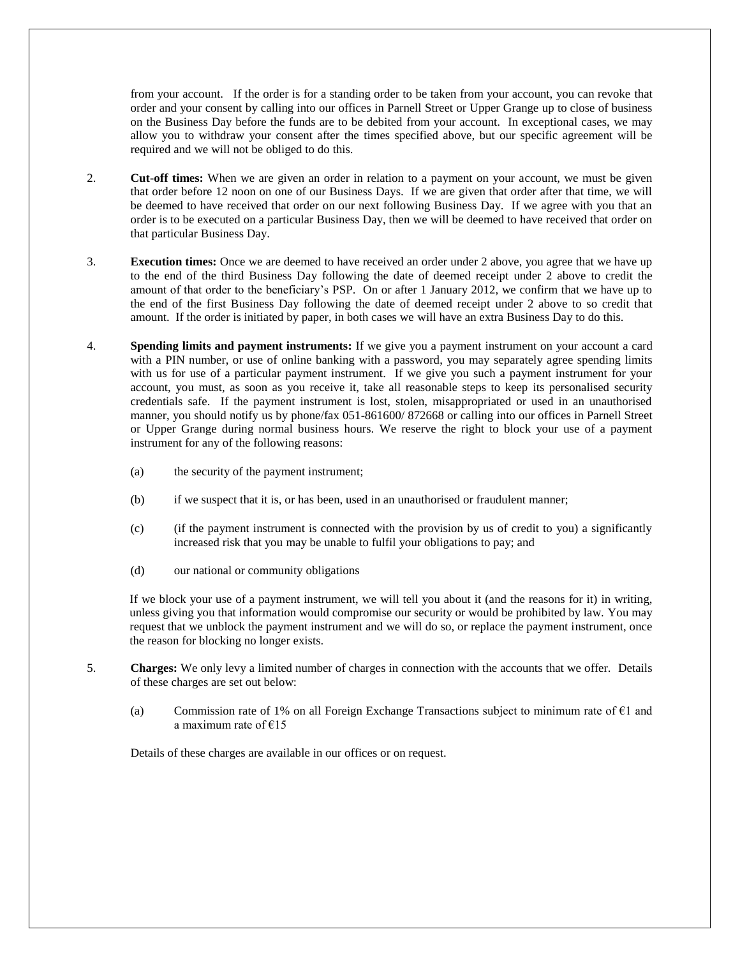from your account. If the order is for a standing order to be taken from your account, you can revoke that order and your consent by calling into our offices in Parnell Street or Upper Grange up to close of business on the Business Day before the funds are to be debited from your account. In exceptional cases, we may allow you to withdraw your consent after the times specified above, but our specific agreement will be required and we will not be obliged to do this.

- 2. **Cut-off times:** When we are given an order in relation to a payment on your account, we must be given that order before 12 noon on one of our Business Days. If we are given that order after that time, we will be deemed to have received that order on our next following Business Day. If we agree with you that an order is to be executed on a particular Business Day, then we will be deemed to have received that order on that particular Business Day.
- 3. **Execution times:** Once we are deemed to have received an order under 2 above, you agree that we have up to the end of the third Business Day following the date of deemed receipt under 2 above to credit the amount of that order to the beneficiary's PSP. On or after 1 January 2012, we confirm that we have up to the end of the first Business Day following the date of deemed receipt under 2 above to so credit that amount. If the order is initiated by paper, in both cases we will have an extra Business Day to do this.
- 4. **Spending limits and payment instruments:** If we give you a payment instrument on your account a card with a PIN number, or use of online banking with a password, you may separately agree spending limits with us for use of a particular payment instrument. If we give you such a payment instrument for your account, you must, as soon as you receive it, take all reasonable steps to keep its personalised security credentials safe. If the payment instrument is lost, stolen, misappropriated or used in an unauthorised manner, you should notify us by phone/fax 051-861600/ 872668 or calling into our offices in Parnell Street or Upper Grange during normal business hours. We reserve the right to block your use of a payment instrument for any of the following reasons:
	- (a) the security of the payment instrument;
	- (b) if we suspect that it is, or has been, used in an unauthorised or fraudulent manner;
	- (c) (if the payment instrument is connected with the provision by us of credit to you) a significantly increased risk that you may be unable to fulfil your obligations to pay; and
	- (d) our national or community obligations

If we block your use of a payment instrument, we will tell you about it (and the reasons for it) in writing, unless giving you that information would compromise our security or would be prohibited by law. You may request that we unblock the payment instrument and we will do so, or replace the payment instrument, once the reason for blocking no longer exists.

- 5. **Charges:** We only levy a limited number of charges in connection with the accounts that we offer. Details of these charges are set out below:
	- (a) Commission rate of 1% on all Foreign Exchange Transactions subject to minimum rate of  $\epsilon$ 1 and a maximum rate of  $€15$

Details of these charges are available in our offices or on request.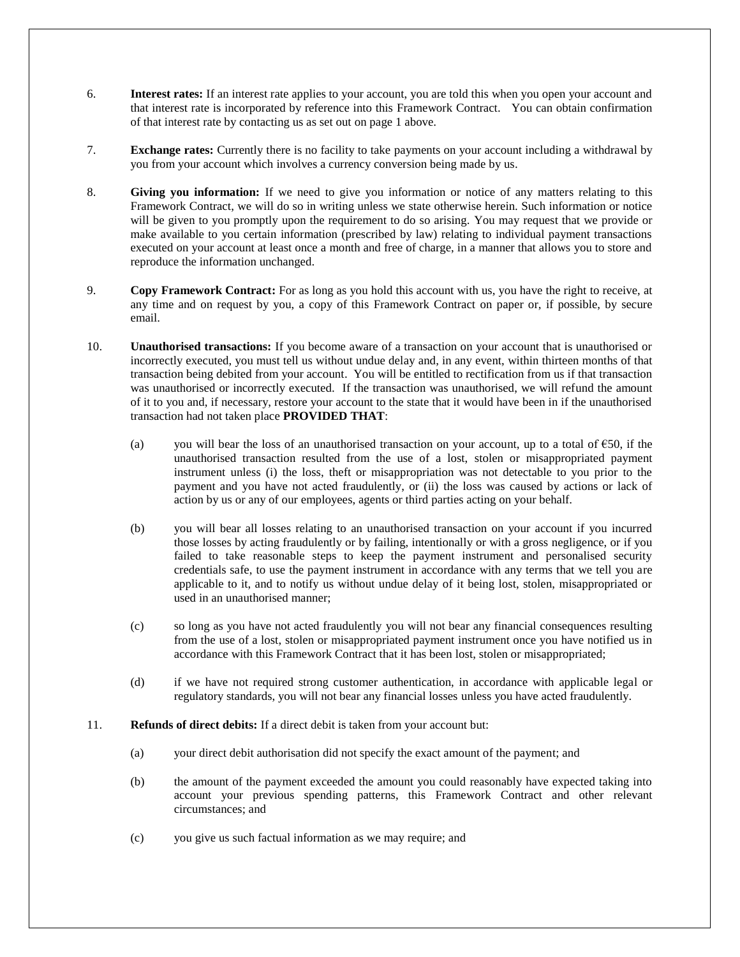- 6. **Interest rates:** If an interest rate applies to your account, you are told this when you open your account and that interest rate is incorporated by reference into this Framework Contract. You can obtain confirmation of that interest rate by contacting us as set out on page 1 above.
- 7. **Exchange rates:** Currently there is no facility to take payments on your account including a withdrawal by you from your account which involves a currency conversion being made by us.
- 8. **Giving you information:** If we need to give you information or notice of any matters relating to this Framework Contract, we will do so in writing unless we state otherwise herein. Such information or notice will be given to you promptly upon the requirement to do so arising. You may request that we provide or make available to you certain information (prescribed by law) relating to individual payment transactions executed on your account at least once a month and free of charge, in a manner that allows you to store and reproduce the information unchanged.
- 9. **Copy Framework Contract:** For as long as you hold this account with us, you have the right to receive, at any time and on request by you, a copy of this Framework Contract on paper or, if possible, by secure email.
- 10. **Unauthorised transactions:** If you become aware of a transaction on your account that is unauthorised or incorrectly executed, you must tell us without undue delay and, in any event, within thirteen months of that transaction being debited from your account. You will be entitled to rectification from us if that transaction was unauthorised or incorrectly executed. If the transaction was unauthorised, we will refund the amount of it to you and, if necessary, restore your account to the state that it would have been in if the unauthorised transaction had not taken place **PROVIDED THAT**:
	- (a) you will bear the loss of an unauthorised transaction on your account, up to a total of  $\epsilon$ 50, if the unauthorised transaction resulted from the use of a lost, stolen or misappropriated payment instrument unless (i) the loss, theft or misappropriation was not detectable to you prior to the payment and you have not acted fraudulently, or (ii) the loss was caused by actions or lack of action by us or any of our employees, agents or third parties acting on your behalf.
	- (b) you will bear all losses relating to an unauthorised transaction on your account if you incurred those losses by acting fraudulently or by failing, intentionally or with a gross negligence, or if you failed to take reasonable steps to keep the payment instrument and personalised security credentials safe, to use the payment instrument in accordance with any terms that we tell you are applicable to it, and to notify us without undue delay of it being lost, stolen, misappropriated or used in an unauthorised manner;
	- (c) so long as you have not acted fraudulently you will not bear any financial consequences resulting from the use of a lost, stolen or misappropriated payment instrument once you have notified us in accordance with this Framework Contract that it has been lost, stolen or misappropriated;
	- (d) if we have not required strong customer authentication, in accordance with applicable legal or regulatory standards, you will not bear any financial losses unless you have acted fraudulently.
- 11. **Refunds of direct debits:** If a direct debit is taken from your account but:
	- (a) your direct debit authorisation did not specify the exact amount of the payment; and
	- (b) the amount of the payment exceeded the amount you could reasonably have expected taking into account your previous spending patterns, this Framework Contract and other relevant circumstances; and
	- (c) you give us such factual information as we may require; and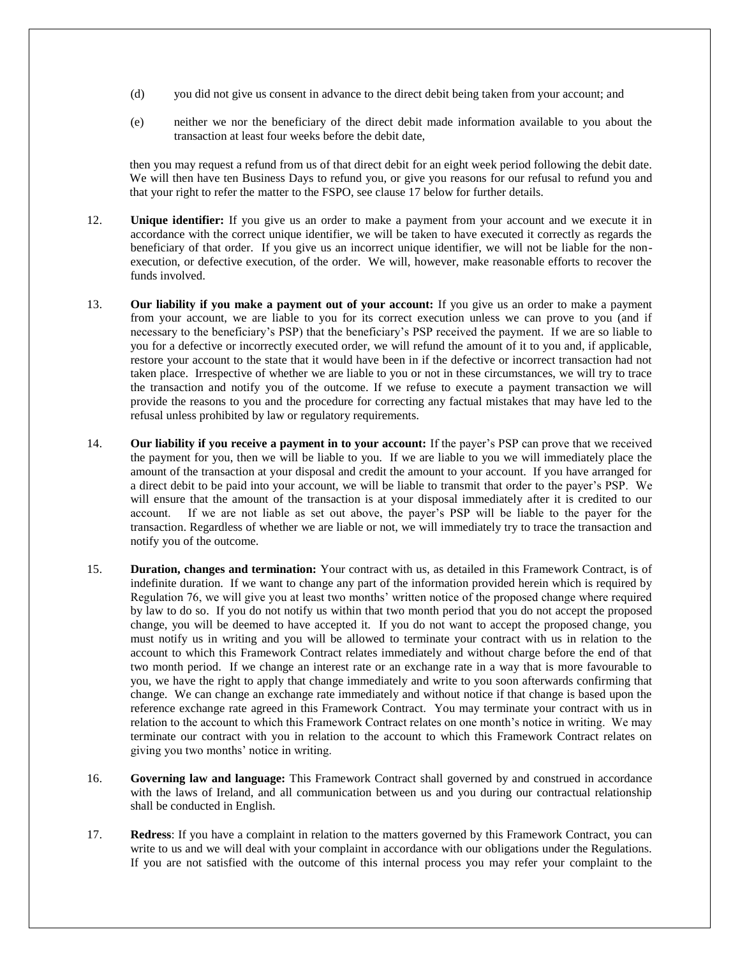- (d) you did not give us consent in advance to the direct debit being taken from your account; and
- (e) neither we nor the beneficiary of the direct debit made information available to you about the transaction at least four weeks before the debit date,

then you may request a refund from us of that direct debit for an eight week period following the debit date. We will then have ten Business Days to refund you, or give you reasons for our refusal to refund you and that your right to refer the matter to the FSPO, see clause 17 below for further details.

- 12. **Unique identifier:** If you give us an order to make a payment from your account and we execute it in accordance with the correct unique identifier, we will be taken to have executed it correctly as regards the beneficiary of that order. If you give us an incorrect unique identifier, we will not be liable for the nonexecution, or defective execution, of the order. We will, however, make reasonable efforts to recover the funds involved.
- 13. **Our liability if you make a payment out of your account:** If you give us an order to make a payment from your account, we are liable to you for its correct execution unless we can prove to you (and if necessary to the beneficiary's PSP) that the beneficiary's PSP received the payment. If we are so liable to you for a defective or incorrectly executed order, we will refund the amount of it to you and, if applicable, restore your account to the state that it would have been in if the defective or incorrect transaction had not taken place. Irrespective of whether we are liable to you or not in these circumstances, we will try to trace the transaction and notify you of the outcome. If we refuse to execute a payment transaction we will provide the reasons to you and the procedure for correcting any factual mistakes that may have led to the refusal unless prohibited by law or regulatory requirements.
- 14. **Our liability if you receive a payment in to your account:** If the payer's PSP can prove that we received the payment for you, then we will be liable to you. If we are liable to you we will immediately place the amount of the transaction at your disposal and credit the amount to your account. If you have arranged for a direct debit to be paid into your account, we will be liable to transmit that order to the payer's PSP. We will ensure that the amount of the transaction is at your disposal immediately after it is credited to our account. If we are not liable as set out above, the payer's PSP will be liable to the payer for the transaction. Regardless of whether we are liable or not, we will immediately try to trace the transaction and notify you of the outcome.
- 15. **Duration, changes and termination:** Your contract with us, as detailed in this Framework Contract, is of indefinite duration. If we want to change any part of the information provided herein which is required by Regulation 76, we will give you at least two months' written notice of the proposed change where required by law to do so. If you do not notify us within that two month period that you do not accept the proposed change, you will be deemed to have accepted it. If you do not want to accept the proposed change, you must notify us in writing and you will be allowed to terminate your contract with us in relation to the account to which this Framework Contract relates immediately and without charge before the end of that two month period. If we change an interest rate or an exchange rate in a way that is more favourable to you, we have the right to apply that change immediately and write to you soon afterwards confirming that change. We can change an exchange rate immediately and without notice if that change is based upon the reference exchange rate agreed in this Framework Contract. You may terminate your contract with us in relation to the account to which this Framework Contract relates on one month's notice in writing. We may terminate our contract with you in relation to the account to which this Framework Contract relates on giving you two months' notice in writing.
- 16. **Governing law and language:** This Framework Contract shall governed by and construed in accordance with the laws of Ireland, and all communication between us and you during our contractual relationship shall be conducted in English.
- 17. **Redress**: If you have a complaint in relation to the matters governed by this Framework Contract, you can write to us and we will deal with your complaint in accordance with our obligations under the Regulations. If you are not satisfied with the outcome of this internal process you may refer your complaint to the